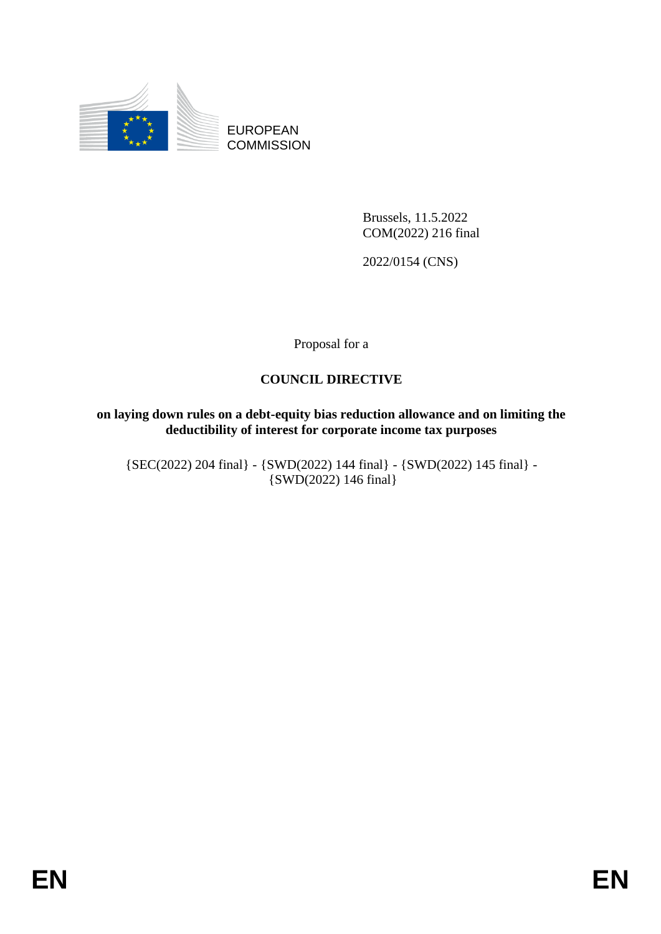

EUROPEAN **COMMISSION** 

> Brussels, 11.5.2022 COM(2022) 216 final

2022/0154 (CNS)

Proposal for a

#### **COUNCIL DIRECTIVE**

#### **on laying down rules on a debt-equity bias reduction allowance and on limiting the deductibility of interest for corporate income tax purposes**

{SEC(2022) 204 final} - {SWD(2022) 144 final} - {SWD(2022) 145 final} - {SWD(2022) 146 final}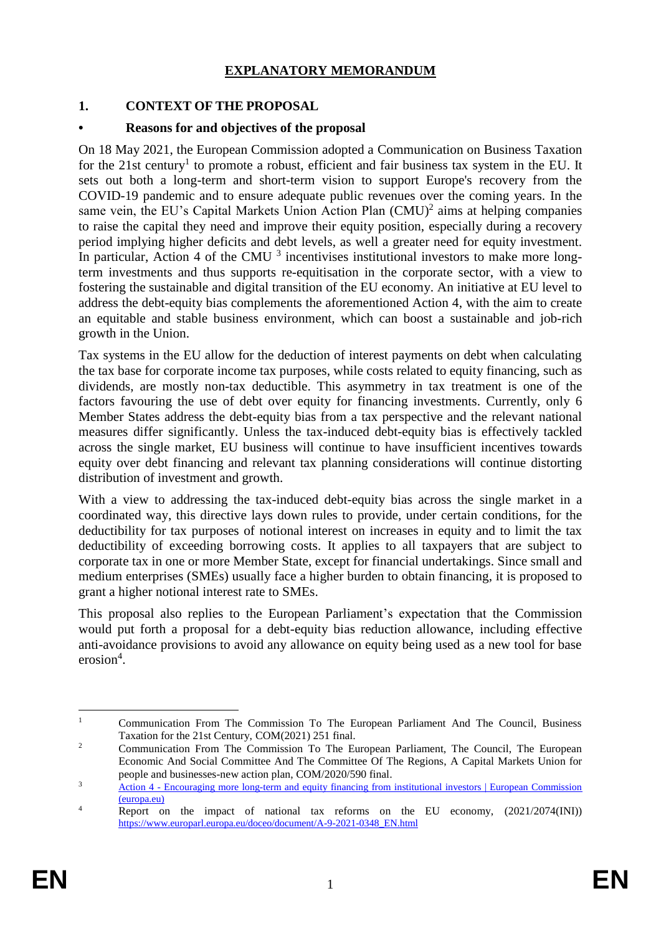## **EXPLANATORY MEMORANDUM**

### **1. CONTEXT OF THE PROPOSAL**

#### **• Reasons for and objectives of the proposal**

On 18 May 2021, the European Commission adopted a Communication on Business Taxation for the 21st century<sup>1</sup> to promote a robust, efficient and fair business tax system in the EU. It sets out both a long-term and short-term vision to support Europe's recovery from the COVID-19 pandemic and to ensure adequate public revenues over the coming years. In the same vein, the EU's Capital Markets Union Action Plan  $(CMU)^2$  aims at helping companies to raise the capital they need and improve their equity position, especially during a recovery period implying higher deficits and debt levels, as well a greater need for equity investment. In particular, Action 4 of the CMU  $3$  incentivises institutional investors to make more longterm investments and thus supports re-equitisation in the corporate sector, with a view to fostering the sustainable and digital transition of the EU economy. An initiative at EU level to address the debt-equity bias complements the aforementioned Action 4, with the aim to create an equitable and stable business environment, which can boost a sustainable and job-rich growth in the Union.

Tax systems in the EU allow for the deduction of interest payments on debt when calculating the tax base for corporate income tax purposes, while costs related to equity financing, such as dividends, are mostly non-tax deductible. This asymmetry in tax treatment is one of the factors favouring the use of debt over equity for financing investments. Currently, only 6 Member States address the debt-equity bias from a tax perspective and the relevant national measures differ significantly. Unless the tax-induced debt-equity bias is effectively tackled across the single market, EU business will continue to have insufficient incentives towards equity over debt financing and relevant tax planning considerations will continue distorting distribution of investment and growth.

With a view to addressing the tax-induced debt-equity bias across the single market in a coordinated way, this directive lays down rules to provide, under certain conditions, for the deductibility for tax purposes of notional interest on increases in equity and to limit the tax deductibility of exceeding borrowing costs. It applies to all taxpayers that are subject to corporate tax in one or more Member State, except for financial undertakings. Since small and medium enterprises (SMEs) usually face a higher burden to obtain financing, it is proposed to grant a higher notional interest rate to SMEs.

This proposal also replies to the European Parliament's expectation that the Commission would put forth a proposal for a debt-equity bias reduction allowance, including effective anti-avoidance provisions to avoid any allowance on equity being used as a new tool for base erosion<sup>4</sup>.

 $\mathbf{1}$ <sup>1</sup> Communication From The Commission To The European Parliament And The Council, Business Taxation for the 21st Century, COM(2021) 251 final.

<sup>&</sup>lt;sup>2</sup> Communication From The Commission To The European Parliament, The Council, The European Economic And Social Committee And The Committee Of The Regions, A Capital Markets Union for people and businesses-new action plan, COM/2020/590 final.

<sup>&</sup>lt;sup>3</sup> Action 4 - Encouraging more long-term and equity financing from institutional investors | European Commission [\(europa.eu\)](https://ec.europa.eu/info/business-economy-euro/growth-and-investment/capital-markets-union/capital-markets-union-2020-action-plan/action-4-encouraging-more-long-term-and-equity-financing-institutional-investors_en)

<sup>&</sup>lt;sup>4</sup> Report on the impact of national tax reforms on the EU economy, (2021/2074(INI)) [https://www.europarl.europa.eu/doceo/document/A-9-2021-0348\\_EN.html](https://www.europarl.europa.eu/doceo/document/A-9-2021-0348_EN.html)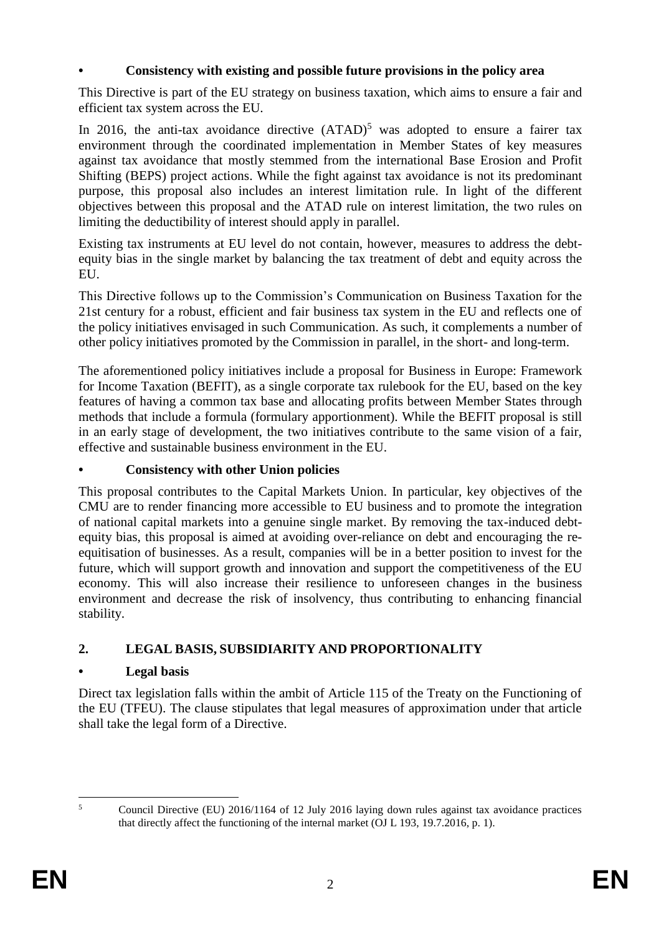# **• Consistency with existing and possible future provisions in the policy area**

This Directive is part of the EU strategy on business taxation, which aims to ensure a fair and efficient tax system across the EU.

In 2016, the anti-tax avoidance directive  $(ATAD)^5$  was adopted to ensure a fairer tax environment through the coordinated implementation in Member States of key measures against tax avoidance that mostly stemmed from the international Base Erosion and Profit Shifting (BEPS) project actions. While the fight against tax avoidance is not its predominant purpose, this proposal also includes an interest limitation rule. In light of the different objectives between this proposal and the ATAD rule on interest limitation, the two rules on limiting the deductibility of interest should apply in parallel.

Existing tax instruments at EU level do not contain, however, measures to address the debtequity bias in the single market by balancing the tax treatment of debt and equity across the EU.

This Directive follows up to the Commission's Communication on Business Taxation for the 21st century for a robust, efficient and fair business tax system in the EU and reflects one of the policy initiatives envisaged in such Communication. As such, it complements a number of other policy initiatives promoted by the Commission in parallel, in the short- and long-term.

The aforementioned policy initiatives include a proposal for Business in Europe: Framework for Income Taxation (BEFIT), as a single corporate tax rulebook for the EU, based on the key features of having a common tax base and allocating profits between Member States through methods that include a formula (formulary apportionment). While the BEFIT proposal is still in an early stage of development, the two initiatives contribute to the same vision of a fair, effective and sustainable business environment in the EU.

#### **• Consistency with other Union policies**

This proposal contributes to the Capital Markets Union. In particular, key objectives of the CMU are to render financing more accessible to EU business and to promote the integration of national capital markets into a genuine single market. By removing the tax-induced debtequity bias, this proposal is aimed at avoiding over-reliance on debt and encouraging the reequitisation of businesses. As a result, companies will be in a better position to invest for the future, which will support growth and innovation and support the competitiveness of the EU economy. This will also increase their resilience to unforeseen changes in the business environment and decrease the risk of insolvency, thus contributing to enhancing financial stability.

# **2. LEGAL BASIS, SUBSIDIARITY AND PROPORTIONALITY**

#### **• Legal basis**

Direct tax legislation falls within the ambit of Article 115 of the Treaty on the Functioning of the EU (TFEU). The clause stipulates that legal measures of approximation under that article shall take the legal form of a Directive.

 $\overline{\phantom{a}}$ 

<sup>5</sup> Council Directive (EU) 2016/1164 of 12 July 2016 laying down rules against tax avoidance practices that directly affect the functioning of the internal market (OJ L 193, 19.7.2016, p. 1).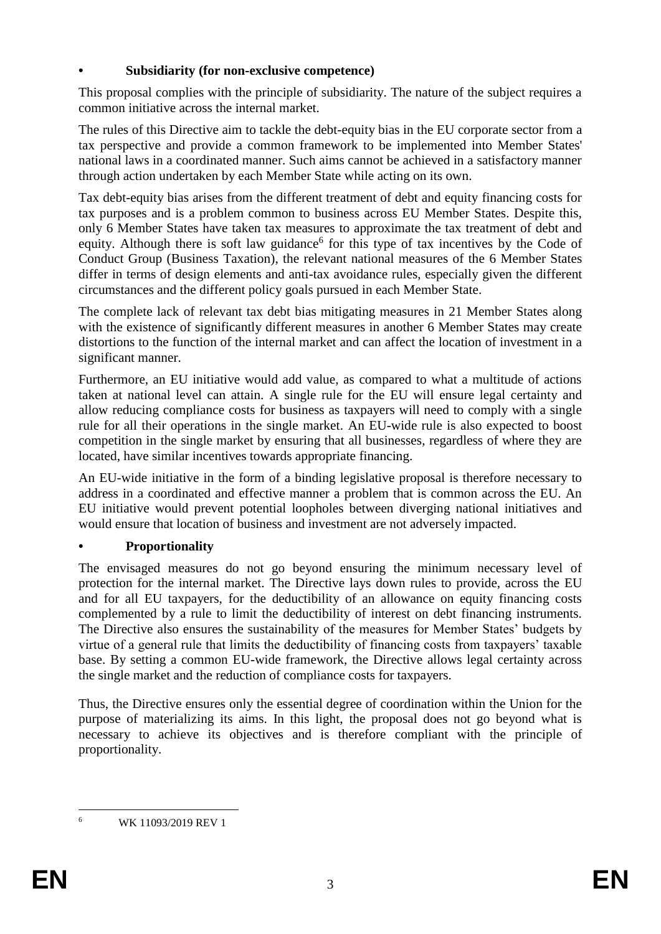### **• Subsidiarity (for non-exclusive competence)**

This proposal complies with the principle of subsidiarity. The nature of the subject requires a common initiative across the internal market.

The rules of this Directive aim to tackle the debt-equity bias in the EU corporate sector from a tax perspective and provide a common framework to be implemented into Member States' national laws in a coordinated manner. Such aims cannot be achieved in a satisfactory manner through action undertaken by each Member State while acting on its own.

Tax debt-equity bias arises from the different treatment of debt and equity financing costs for tax purposes and is a problem common to business across EU Member States. Despite this, only 6 Member States have taken tax measures to approximate the tax treatment of debt and equity. Although there is soft law guidance<sup>6</sup> for this type of tax incentives by the Code of Conduct Group (Business Taxation), the relevant national measures of the 6 Member States differ in terms of design elements and anti-tax avoidance rules, especially given the different circumstances and the different policy goals pursued in each Member State.

The complete lack of relevant tax debt bias mitigating measures in 21 Member States along with the existence of significantly different measures in another 6 Member States may create distortions to the function of the internal market and can affect the location of investment in a significant manner.

Furthermore, an EU initiative would add value, as compared to what a multitude of actions taken at national level can attain. A single rule for the EU will ensure legal certainty and allow reducing compliance costs for business as taxpayers will need to comply with a single rule for all their operations in the single market. An EU-wide rule is also expected to boost competition in the single market by ensuring that all businesses, regardless of where they are located, have similar incentives towards appropriate financing.

An EU-wide initiative in the form of a binding legislative proposal is therefore necessary to address in a coordinated and effective manner a problem that is common across the EU. An EU initiative would prevent potential loopholes between diverging national initiatives and would ensure that location of business and investment are not adversely impacted.

# **• Proportionality**

The envisaged measures do not go beyond ensuring the minimum necessary level of protection for the internal market. The Directive lays down rules to provide, across the EU and for all EU taxpayers, for the deductibility of an allowance on equity financing costs complemented by a rule to limit the deductibility of interest on debt financing instruments. The Directive also ensures the sustainability of the measures for Member States' budgets by virtue of a general rule that limits the deductibility of financing costs from taxpayers' taxable base. By setting a common EU-wide framework, the Directive allows legal certainty across the single market and the reduction of compliance costs for taxpayers.

Thus, the Directive ensures only the essential degree of coordination within the Union for the purpose of materializing its aims. In this light, the proposal does not go beyond what is necessary to achieve its objectives and is therefore compliant with the principle of proportionality.

 $\overline{6}$ <sup>6</sup> WK 11093/2019 REV 1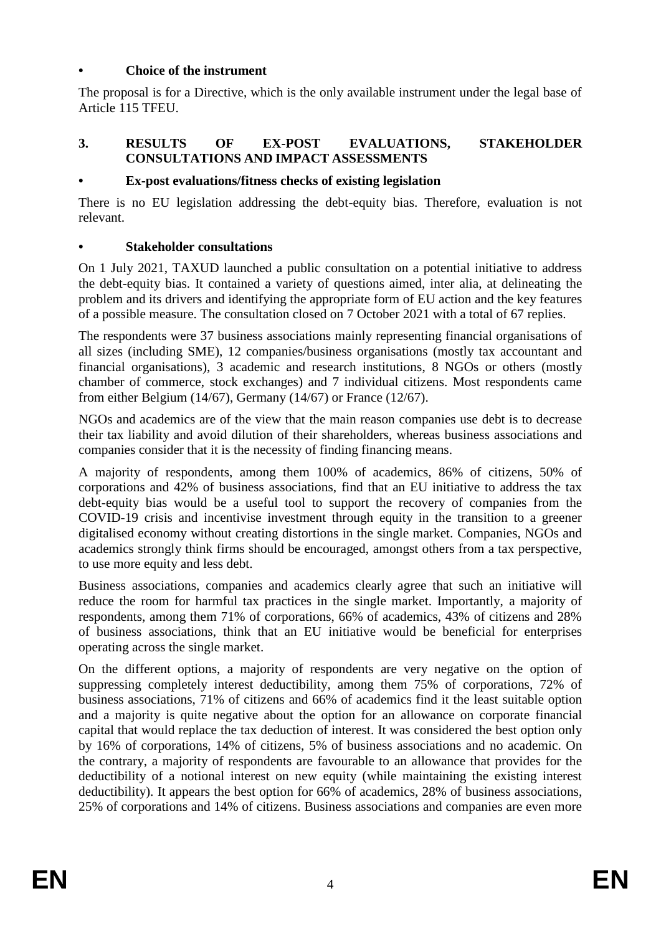#### **• Choice of the instrument**

The proposal is for a Directive, which is the only available instrument under the legal base of Article 115 TFEU.

#### **3. RESULTS OF EX-POST EVALUATIONS, STAKEHOLDER CONSULTATIONS AND IMPACT ASSESSMENTS**

#### **• Ex-post evaluations/fitness checks of existing legislation**

There is no EU legislation addressing the debt-equity bias. Therefore, evaluation is not relevant.

#### **• Stakeholder consultations**

On 1 July 2021, TAXUD launched a public consultation on a potential initiative to address the debt-equity bias. It contained a variety of questions aimed, inter alia, at delineating the problem and its drivers and identifying the appropriate form of EU action and the key features of a possible measure. The consultation closed on 7 October 2021 with a total of 67 replies.

The respondents were 37 business associations mainly representing financial organisations of all sizes (including SME), 12 companies/business organisations (mostly tax accountant and financial organisations), 3 academic and research institutions, 8 NGOs or others (mostly chamber of commerce, stock exchanges) and 7 individual citizens. Most respondents came from either Belgium (14/67), Germany (14/67) or France (12/67).

NGOs and academics are of the view that the main reason companies use debt is to decrease their tax liability and avoid dilution of their shareholders, whereas business associations and companies consider that it is the necessity of finding financing means.

A majority of respondents, among them 100% of academics, 86% of citizens, 50% of corporations and 42% of business associations, find that an EU initiative to address the tax debt-equity bias would be a useful tool to support the recovery of companies from the COVID-19 crisis and incentivise investment through equity in the transition to a greener digitalised economy without creating distortions in the single market. Companies, NGOs and academics strongly think firms should be encouraged, amongst others from a tax perspective, to use more equity and less debt.

Business associations, companies and academics clearly agree that such an initiative will reduce the room for harmful tax practices in the single market. Importantly, a majority of respondents, among them 71% of corporations, 66% of academics, 43% of citizens and 28% of business associations, think that an EU initiative would be beneficial for enterprises operating across the single market.

On the different options, a majority of respondents are very negative on the option of suppressing completely interest deductibility, among them 75% of corporations, 72% of business associations, 71% of citizens and 66% of academics find it the least suitable option and a majority is quite negative about the option for an allowance on corporate financial capital that would replace the tax deduction of interest. It was considered the best option only by 16% of corporations, 14% of citizens, 5% of business associations and no academic. On the contrary, a majority of respondents are favourable to an allowance that provides for the deductibility of a notional interest on new equity (while maintaining the existing interest deductibility). It appears the best option for 66% of academics, 28% of business associations, 25% of corporations and 14% of citizens. Business associations and companies are even more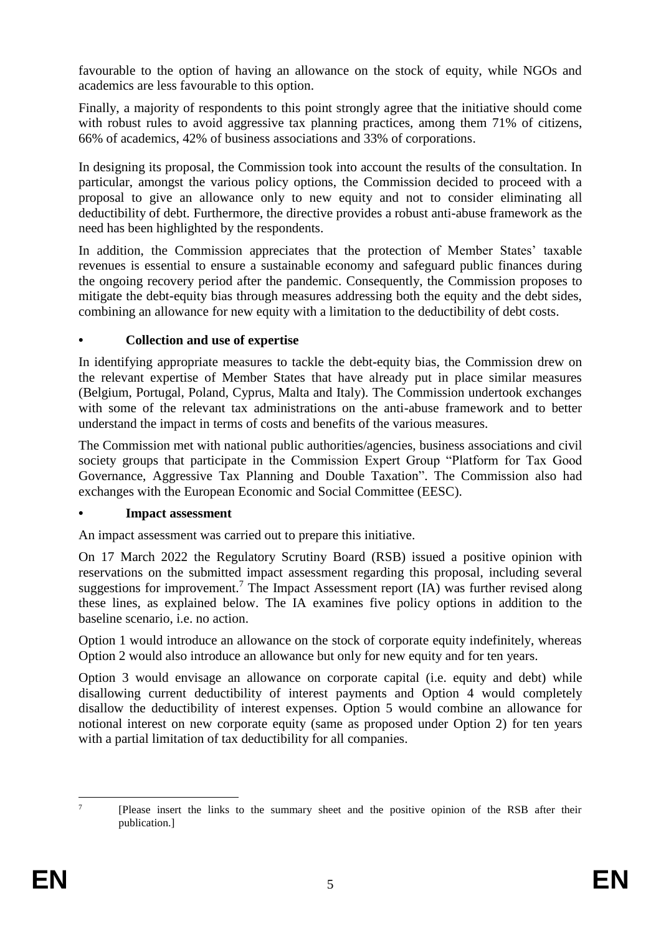favourable to the option of having an allowance on the stock of equity, while NGOs and academics are less favourable to this option.

Finally, a majority of respondents to this point strongly agree that the initiative should come with robust rules to avoid aggressive tax planning practices, among them 71% of citizens, 66% of academics, 42% of business associations and 33% of corporations.

In designing its proposal, the Commission took into account the results of the consultation. In particular, amongst the various policy options, the Commission decided to proceed with a proposal to give an allowance only to new equity and not to consider eliminating all deductibility of debt. Furthermore, the directive provides a robust anti-abuse framework as the need has been highlighted by the respondents.

In addition, the Commission appreciates that the protection of Member States' taxable revenues is essential to ensure a sustainable economy and safeguard public finances during the ongoing recovery period after the pandemic. Consequently, the Commission proposes to mitigate the debt-equity bias through measures addressing both the equity and the debt sides, combining an allowance for new equity with a limitation to the deductibility of debt costs.

#### **• Collection and use of expertise**

In identifying appropriate measures to tackle the debt-equity bias, the Commission drew on the relevant expertise of Member States that have already put in place similar measures (Belgium, Portugal, Poland, Cyprus, Malta and Italy). The Commission undertook exchanges with some of the relevant tax administrations on the anti-abuse framework and to better understand the impact in terms of costs and benefits of the various measures.

The Commission met with national public authorities/agencies, business associations and civil society groups that participate in the Commission Expert Group "Platform for Tax Good Governance, Aggressive Tax Planning and Double Taxation". The Commission also had exchanges with the European Economic and Social Committee (EESC).

#### **• Impact assessment**

An impact assessment was carried out to prepare this initiative.

On 17 March 2022 the Regulatory Scrutiny Board (RSB) issued a positive opinion with reservations on the submitted impact assessment regarding this proposal, including several suggestions for improvement.<sup>7</sup> The Impact Assessment report  $(IA)$  was further revised along these lines, as explained below. The IA examines five policy options in addition to the baseline scenario, i.e. no action.

Option 1 would introduce an allowance on the stock of corporate equity indefinitely, whereas Option 2 would also introduce an allowance but only for new equity and for ten years.

Option 3 would envisage an allowance on corporate capital (i.e. equity and debt) while disallowing current deductibility of interest payments and Option 4 would completely disallow the deductibility of interest expenses. Option 5 would combine an allowance for notional interest on new corporate equity (same as proposed under Option 2) for ten years with a partial limitation of tax deductibility for all companies.

 $\frac{1}{7}$ [Please insert the links to the summary sheet and the positive opinion of the RSB after their publication.]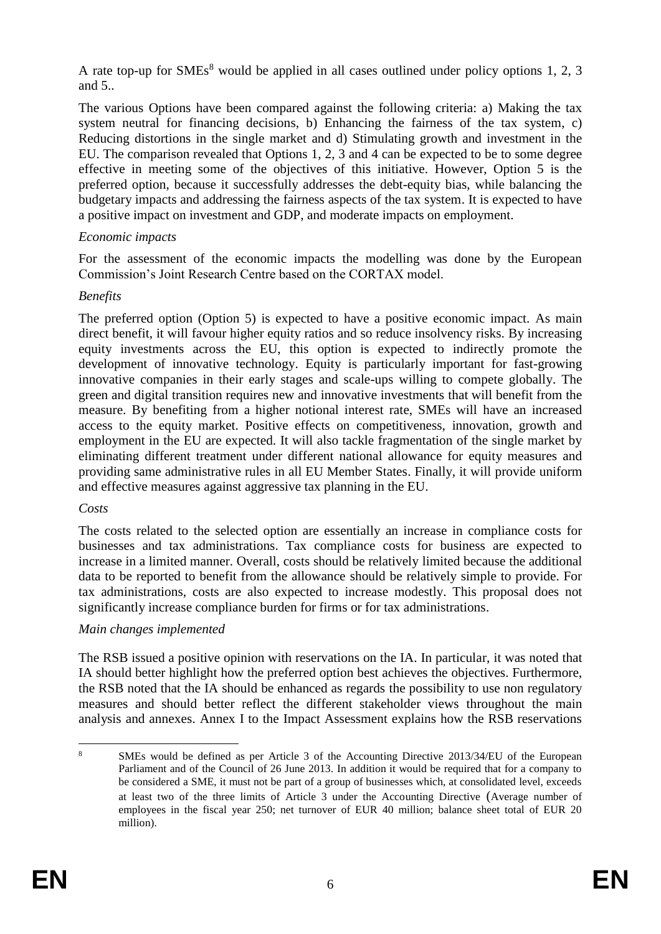A rate top-up for  $SMEs^8$  would be applied in all cases outlined under policy options 1, 2, 3 and 5..

The various Options have been compared against the following criteria: a) Making the tax system neutral for financing decisions, b) Enhancing the fairness of the tax system, c) Reducing distortions in the single market and d) Stimulating growth and investment in the EU. The comparison revealed that Options 1, 2, 3 and 4 can be expected to be to some degree effective in meeting some of the objectives of this initiative. However, Option 5 is the preferred option, because it successfully addresses the debt-equity bias, while balancing the budgetary impacts and addressing the fairness aspects of the tax system. It is expected to have a positive impact on investment and GDP, and moderate impacts on employment.

#### *Economic impacts*

For the assessment of the economic impacts the modelling was done by the European Commission's Joint Research Centre based on the CORTAX model.

# *Benefits*

The preferred option (Option 5) is expected to have a positive economic impact. As main direct benefit, it will favour higher equity ratios and so reduce insolvency risks. By increasing equity investments across the EU, this option is expected to indirectly promote the development of innovative technology. Equity is particularly important for fast-growing innovative companies in their early stages and scale-ups willing to compete globally. The green and digital transition requires new and innovative investments that will benefit from the measure. By benefiting from a higher notional interest rate, SMEs will have an increased access to the equity market. Positive effects on competitiveness, innovation, growth and employment in the EU are expected. It will also tackle fragmentation of the single market by eliminating different treatment under different national allowance for equity measures and providing same administrative rules in all EU Member States. Finally, it will provide uniform and effective measures against aggressive tax planning in the EU.

#### *Costs*

The costs related to the selected option are essentially an increase in compliance costs for businesses and tax administrations. Tax compliance costs for business are expected to increase in a limited manner. Overall, costs should be relatively limited because the additional data to be reported to benefit from the allowance should be relatively simple to provide. For tax administrations, costs are also expected to increase modestly. This proposal does not significantly increase compliance burden for firms or for tax administrations.

#### *Main changes implemented*

The RSB issued a positive opinion with reservations on the IA. In particular, it was noted that IA should better highlight how the preferred option best achieves the objectives. Furthermore, the RSB noted that the IA should be enhanced as regards the possibility to use non regulatory measures and should better reflect the different stakeholder views throughout the main analysis and annexes. Annex I to the Impact Assessment explains how the RSB reservations

<sup>1</sup> <sup>8</sup> SMEs would be defined as per Article 3 of the Accounting Directive 2013/34/EU of the European Parliament and of the Council of 26 June 2013. In addition it would be required that for a company to be considered a SME, it must not be part of a group of businesses which, at consolidated level, exceeds at least two of the three limits of Article 3 under the Accounting Directive (Average number of employees in the fiscal year 250; net turnover of EUR 40 million; balance sheet total of EUR 20 million).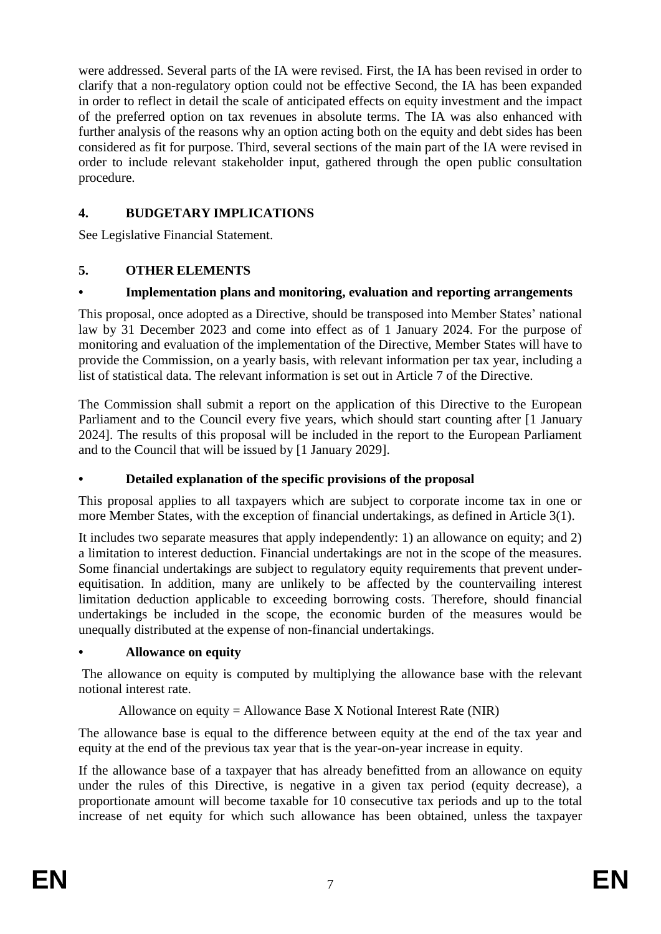were addressed. Several parts of the IA were revised. First, the IA has been revised in order to clarify that a non-regulatory option could not be effective Second, the IA has been expanded in order to reflect in detail the scale of anticipated effects on equity investment and the impact of the preferred option on tax revenues in absolute terms. The IA was also enhanced with further analysis of the reasons why an option acting both on the equity and debt sides has been considered as fit for purpose. Third, several sections of the main part of the IA were revised in order to include relevant stakeholder input, gathered through the open public consultation procedure.

# **4. BUDGETARY IMPLICATIONS**

See Legislative Financial Statement.

# **5. OTHER ELEMENTS**

# **• Implementation plans and monitoring, evaluation and reporting arrangements**

This proposal, once adopted as a Directive, should be transposed into Member States' national law by 31 December 2023 and come into effect as of 1 January 2024. For the purpose of monitoring and evaluation of the implementation of the Directive, Member States will have to provide the Commission, on a yearly basis, with relevant information per tax year, including a list of statistical data. The relevant information is set out in Article 7 of the Directive.

The Commission shall submit a report on the application of this Directive to the European Parliament and to the Council every five years, which should start counting after [1 January 2024]. The results of this proposal will be included in the report to the European Parliament and to the Council that will be issued by [1 January 2029].

# **• Detailed explanation of the specific provisions of the proposal**

This proposal applies to all taxpayers which are subject to corporate income tax in one or more Member States, with the exception of financial undertakings, as defined in Article 3(1).

It includes two separate measures that apply independently: 1) an allowance on equity; and 2) a limitation to interest deduction. Financial undertakings are not in the scope of the measures. Some financial undertakings are subject to regulatory equity requirements that prevent underequitisation. In addition, many are unlikely to be affected by the countervailing interest limitation deduction applicable to exceeding borrowing costs. Therefore, should financial undertakings be included in the scope, the economic burden of the measures would be unequally distributed at the expense of non-financial undertakings.

# **• Allowance on equity**

The allowance on equity is computed by multiplying the allowance base with the relevant notional interest rate.

# Allowance on equity = Allowance Base X Notional Interest Rate (NIR)

The allowance base is equal to the difference between equity at the end of the tax year and equity at the end of the previous tax year that is the year-on-year increase in equity.

If the allowance base of a taxpayer that has already benefitted from an allowance on equity under the rules of this Directive, is negative in a given tax period (equity decrease), a proportionate amount will become taxable for 10 consecutive tax periods and up to the total increase of net equity for which such allowance has been obtained, unless the taxpayer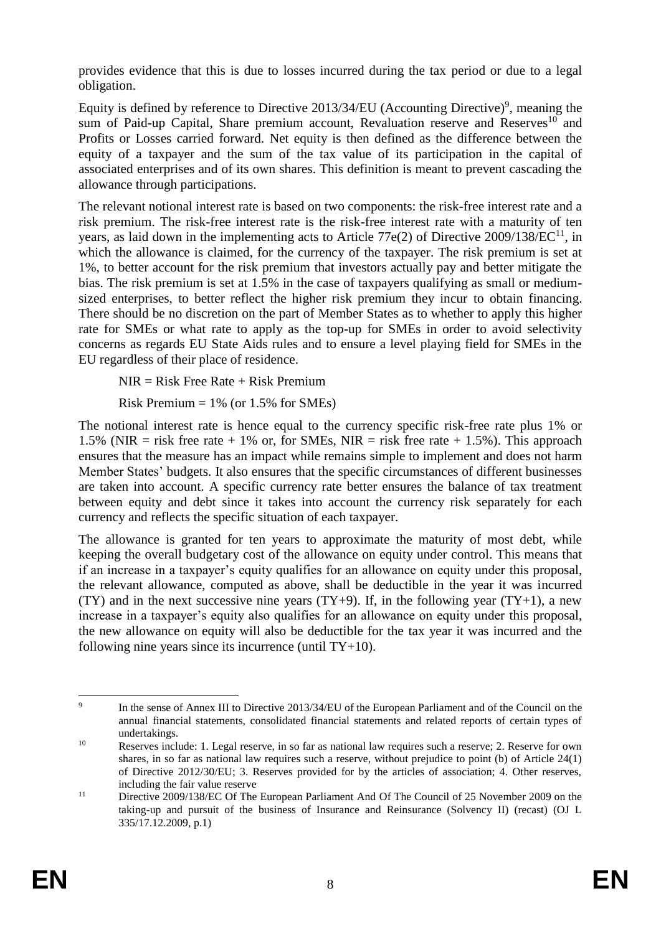provides evidence that this is due to losses incurred during the tax period or due to a legal obligation.

Equity is defined by reference to Directive 2013/34/EU (Accounting Directive)<sup>9</sup>, meaning the sum of Paid-up Capital, Share premium account, Revaluation reserve and Reserves<sup>10</sup> and Profits or Losses carried forward. Net equity is then defined as the difference between the equity of a taxpayer and the sum of the tax value of its participation in the capital of associated enterprises and of its own shares. This definition is meant to prevent cascading the allowance through participations.

The relevant notional interest rate is based on two components: the risk-free interest rate and a risk premium. The risk-free interest rate is the risk-free interest rate with a maturity of ten years, as laid down in the implementing acts to Article 77 $e(2)$  of Directive 2009/138/EC<sup>11</sup>, in which the allowance is claimed, for the currency of the taxpayer. The risk premium is set at 1%, to better account for the risk premium that investors actually pay and better mitigate the bias. The risk premium is set at 1.5% in the case of taxpayers qualifying as small or mediumsized enterprises, to better reflect the higher risk premium they incur to obtain financing. There should be no discretion on the part of Member States as to whether to apply this higher rate for SMEs or what rate to apply as the top-up for SMEs in order to avoid selectivity concerns as regards EU State Aids rules and to ensure a level playing field for SMEs in the EU regardless of their place of residence.

NIR = Risk Free Rate + Risk Premium

Risk Premium  $= 1\%$  (or 1.5% for SMEs)

The notional interest rate is hence equal to the currency specific risk-free rate plus 1% or 1.5% (NIR = risk free rate + 1% or, for SMEs, NIR = risk free rate + 1.5%). This approach ensures that the measure has an impact while remains simple to implement and does not harm Member States' budgets. It also ensures that the specific circumstances of different businesses are taken into account. A specific currency rate better ensures the balance of tax treatment between equity and debt since it takes into account the currency risk separately for each currency and reflects the specific situation of each taxpayer.

The allowance is granted for ten years to approximate the maturity of most debt, while keeping the overall budgetary cost of the allowance on equity under control. This means that if an increase in a taxpayer's equity qualifies for an allowance on equity under this proposal, the relevant allowance, computed as above, shall be deductible in the year it was incurred (TY) and in the next successive nine years (TY+9). If, in the following year (TY+1), a new increase in a taxpayer's equity also qualifies for an allowance on equity under this proposal, the new allowance on equity will also be deductible for the tax year it was incurred and the following nine years since its incurrence (until TY+10).

<sup>-&</sup>lt;br>9 In the sense of Annex III to Directive 2013/34/EU of the European Parliament and of the Council on the annual financial statements, consolidated financial statements and related reports of certain types of undertakings.

<sup>&</sup>lt;sup>10</sup> Reserves include: 1. Legal reserve, in so far as national law requires such a reserve; 2. Reserve for own shares, in so far as national law requires such a reserve, without prejudice to point (b) of Article 24(1) of Directive 2012/30/EU; 3. Reserves provided for by the articles of association; 4. Other reserves, including the fair value reserve

<sup>&</sup>lt;sup>11</sup> Directive 2009/138/EC Of The European Parliament And Of The Council of 25 November 2009 on the taking-up and pursuit of the business of Insurance and Reinsurance (Solvency II) (recast) (OJ L 335/17.12.2009, p.1)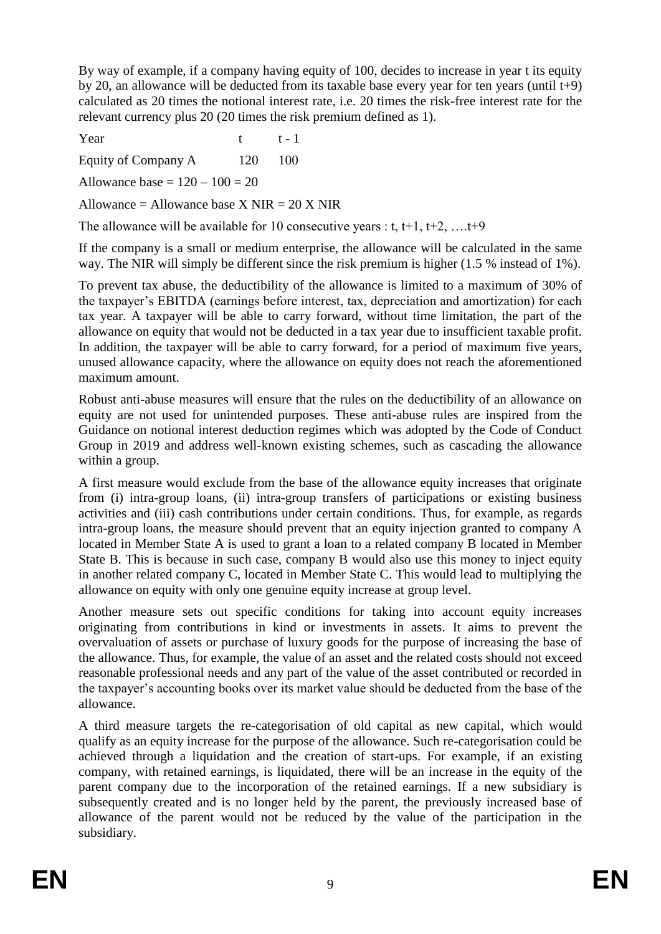By way of example, if a company having equity of 100, decides to increase in year t its equity by 20, an allowance will be deducted from its taxable base every year for ten years (until t+9) calculated as 20 times the notional interest rate, i.e. 20 times the risk-free interest rate for the relevant currency plus 20 (20 times the risk premium defined as 1).

Year t t-1

Equity of Company A 120 100

Allowance base  $= 120 - 100 = 20$ 

Allowance = Allowance base X NIR =  $20$  X NIR

The allowance will be available for 10 consecutive years : t, t+1, t+2, ..., t+9

If the company is a small or medium enterprise, the allowance will be calculated in the same way. The NIR will simply be different since the risk premium is higher (1.5 % instead of 1%).

To prevent tax abuse, the deductibility of the allowance is limited to a maximum of 30% of the taxpayer's EBITDA (earnings before interest, tax, depreciation and amortization) for each tax year. A taxpayer will be able to carry forward, without time limitation, the part of the allowance on equity that would not be deducted in a tax year due to insufficient taxable profit. In addition, the taxpayer will be able to carry forward, for a period of maximum five years, unused allowance capacity, where the allowance on equity does not reach the aforementioned maximum amount.

Robust anti-abuse measures will ensure that the rules on the deductibility of an allowance on equity are not used for unintended purposes. These anti-abuse rules are inspired from the Guidance on notional interest deduction regimes which was adopted by the Code of Conduct Group in 2019 and address well-known existing schemes, such as cascading the allowance within a group.

A first measure would exclude from the base of the allowance equity increases that originate from (i) intra-group loans, (ii) intra-group transfers of participations or existing business activities and (iii) cash contributions under certain conditions. Thus, for example, as regards intra-group loans, the measure should prevent that an equity injection granted to company A located in Member State A is used to grant a loan to a related company B located in Member State B. This is because in such case, company B would also use this money to inject equity in another related company C, located in Member State C. This would lead to multiplying the allowance on equity with only one genuine equity increase at group level.

Another measure sets out specific conditions for taking into account equity increases originating from contributions in kind or investments in assets. It aims to prevent the overvaluation of assets or purchase of luxury goods for the purpose of increasing the base of the allowance. Thus, for example, the value of an asset and the related costs should not exceed reasonable professional needs and any part of the value of the asset contributed or recorded in the taxpayer's accounting books over its market value should be deducted from the base of the allowance.

A third measure targets the re-categorisation of old capital as new capital, which would qualify as an equity increase for the purpose of the allowance. Such re-categorisation could be achieved through a liquidation and the creation of start-ups. For example, if an existing company, with retained earnings, is liquidated, there will be an increase in the equity of the parent company due to the incorporation of the retained earnings. If a new subsidiary is subsequently created and is no longer held by the parent, the previously increased base of allowance of the parent would not be reduced by the value of the participation in the subsidiary.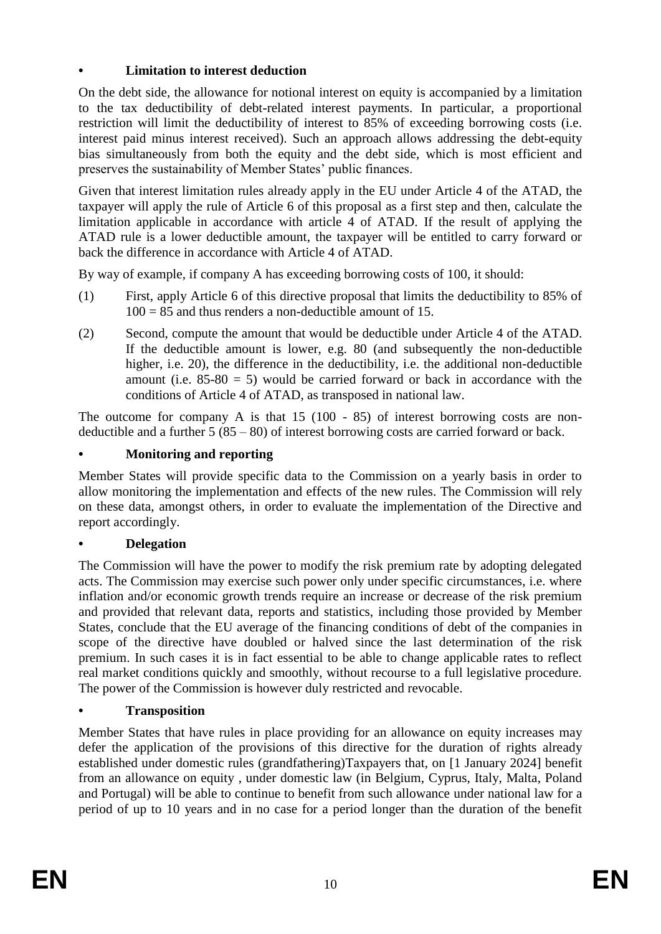# **• Limitation to interest deduction**

On the debt side, the allowance for notional interest on equity is accompanied by a limitation to the tax deductibility of debt-related interest payments. In particular, a proportional restriction will limit the deductibility of interest to 85% of exceeding borrowing costs (i.e. interest paid minus interest received). Such an approach allows addressing the debt-equity bias simultaneously from both the equity and the debt side, which is most efficient and preserves the sustainability of Member States' public finances.

Given that interest limitation rules already apply in the EU under Article 4 of the ATAD, the taxpayer will apply the rule of Article 6 of this proposal as a first step and then, calculate the limitation applicable in accordance with article 4 of ATAD. If the result of applying the ATAD rule is a lower deductible amount, the taxpayer will be entitled to carry forward or back the difference in accordance with Article 4 of ATAD.

By way of example, if company A has exceeding borrowing costs of 100, it should:

- (1) First, apply Article 6 of this directive proposal that limits the deductibility to 85% of  $100 = 85$  and thus renders a non-deductible amount of 15.
- (2) Second, compute the amount that would be deductible under Article 4 of the ATAD. If the deductible amount is lower, e.g. 80 (and subsequently the non-deductible higher, i.e. 20), the difference in the deductibility, i.e. the additional non-deductible amount (i.e.  $85-80 = 5$ ) would be carried forward or back in accordance with the conditions of Article 4 of ATAD, as transposed in national law.

The outcome for company A is that 15 (100 - 85) of interest borrowing costs are nondeductible and a further  $5(85-80)$  of interest borrowing costs are carried forward or back.

# **• Monitoring and reporting**

Member States will provide specific data to the Commission on a yearly basis in order to allow monitoring the implementation and effects of the new rules. The Commission will rely on these data, amongst others, in order to evaluate the implementation of the Directive and report accordingly.

#### **• Delegation**

The Commission will have the power to modify the risk premium rate by adopting delegated acts. The Commission may exercise such power only under specific circumstances, i.e. where inflation and/or economic growth trends require an increase or decrease of the risk premium and provided that relevant data, reports and statistics, including those provided by Member States, conclude that the EU average of the financing conditions of debt of the companies in scope of the directive have doubled or halved since the last determination of the risk premium. In such cases it is in fact essential to be able to change applicable rates to reflect real market conditions quickly and smoothly, without recourse to a full legislative procedure. The power of the Commission is however duly restricted and revocable.

#### **• Transposition**

Member States that have rules in place providing for an allowance on equity increases may defer the application of the provisions of this directive for the duration of rights already established under domestic rules (grandfathering)Taxpayers that, on [1 January 2024] benefit from an allowance on equity , under domestic law (in Belgium, Cyprus, Italy, Malta, Poland and Portugal) will be able to continue to benefit from such allowance under national law for a period of up to 10 years and in no case for a period longer than the duration of the benefit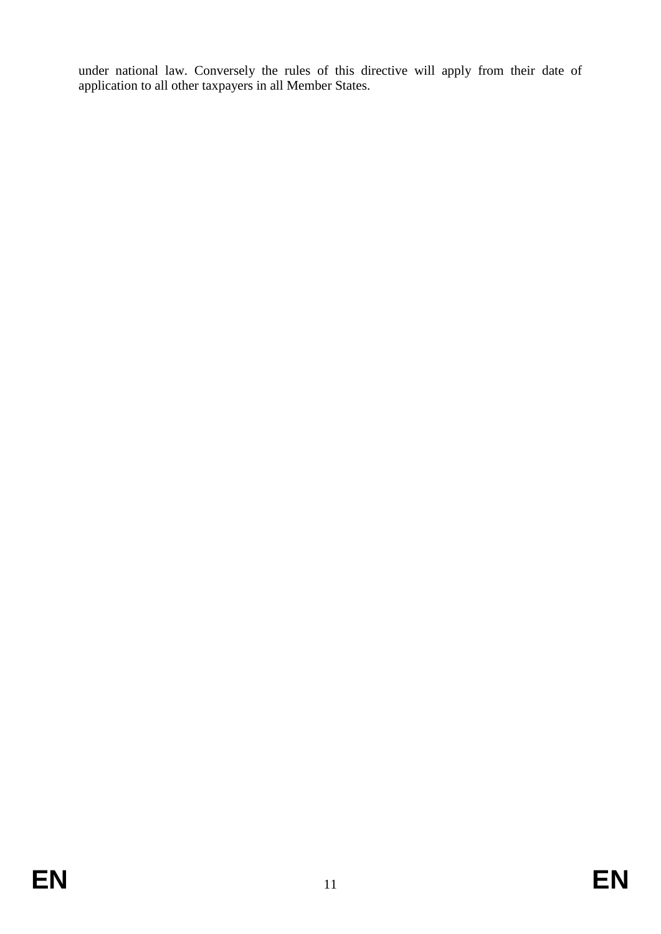under national law. Conversely the rules of this directive will apply from their date of application to all other taxpayers in all Member States.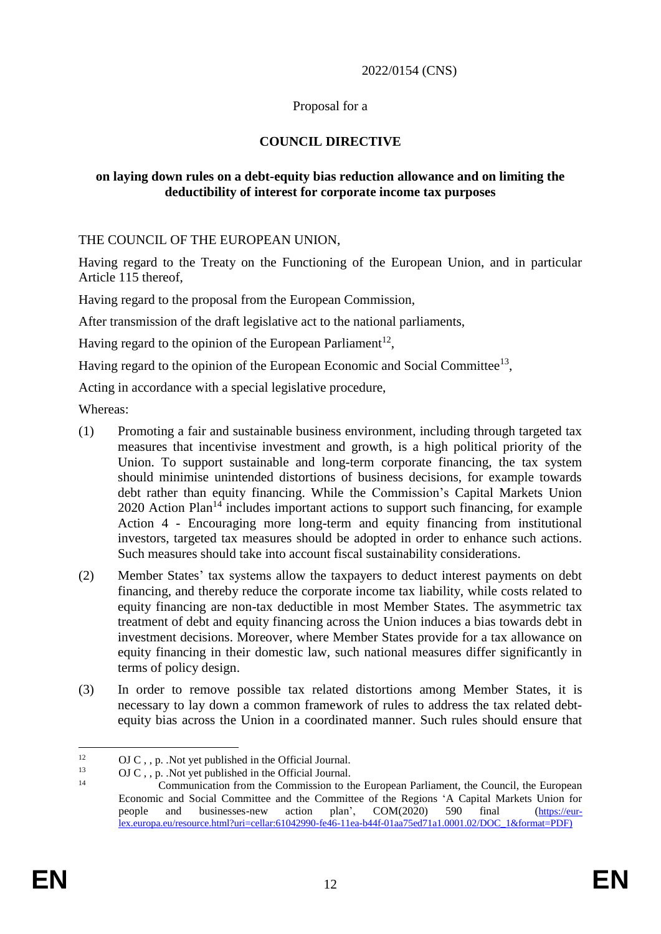#### 2022/0154 (CNS)

#### Proposal for a

#### **COUNCIL DIRECTIVE**

#### **on laying down rules on a debt-equity bias reduction allowance and on limiting the deductibility of interest for corporate income tax purposes**

THE COUNCIL OF THE EUROPEAN UNION,

Having regard to the Treaty on the Functioning of the European Union, and in particular Article 115 thereof,

Having regard to the proposal from the European Commission,

After transmission of the draft legislative act to the national parliaments,

Having regard to the opinion of the European Parliament<sup>12</sup>,

Having regard to the opinion of the European Economic and Social Committee<sup>13</sup>,

Acting in accordance with a special legislative procedure,

Whereas:

- (1) Promoting a fair and sustainable business environment, including through targeted tax measures that incentivise investment and growth, is a high political priority of the Union. To support sustainable and long-term corporate financing, the tax system should minimise unintended distortions of business decisions, for example towards debt rather than equity financing. While the Commission's Capital Markets Union  $2020$  Action Plan<sup>14</sup> includes important actions to support such financing, for example Action 4 - Encouraging more long-term and equity financing from institutional investors, targeted tax measures should be adopted in order to enhance such actions. Such measures should take into account fiscal sustainability considerations.
- (2) Member States' tax systems allow the taxpayers to deduct interest payments on debt financing, and thereby reduce the corporate income tax liability, while costs related to equity financing are non-tax deductible in most Member States. The asymmetric tax treatment of debt and equity financing across the Union induces a bias towards debt in investment decisions. Moreover, where Member States provide for a tax allowance on equity financing in their domestic law, such national measures differ significantly in terms of policy design.
- (3) In order to remove possible tax related distortions among Member States, it is necessary to lay down a common framework of rules to address the tax related debtequity bias across the Union in a coordinated manner. Such rules should ensure that

 $12$ <sup>12</sup> OJ C, , p. .Not yet published in the Official Journal.<br><sup>13</sup> OJ C, as Not yet published in the Official Journal.

<sup>&</sup>lt;sup>13</sup> OJ C, , p. .Not yet published in the Official Journal.

Communication from the Commission to the European Parliament, the Council, the European Economic and Social Committee and the Committee of the Regions 'A Capital Markets Union for people and businesses-new action plan', COM(2020) 590 final ([https://eur](https://eur-lex.europa.eu/resource.html?uri=cellar:61042990-fe46-11ea-b44f-01aa75ed71a1.0001.02/DOC_1&format=PDF)[lex.europa.eu/resource.html?uri=cellar:61042990-fe46-11ea-b44f-01aa75ed71a1.0001.02/DOC\\_1&format=PDF\)](https://eur-lex.europa.eu/resource.html?uri=cellar:61042990-fe46-11ea-b44f-01aa75ed71a1.0001.02/DOC_1&format=PDF)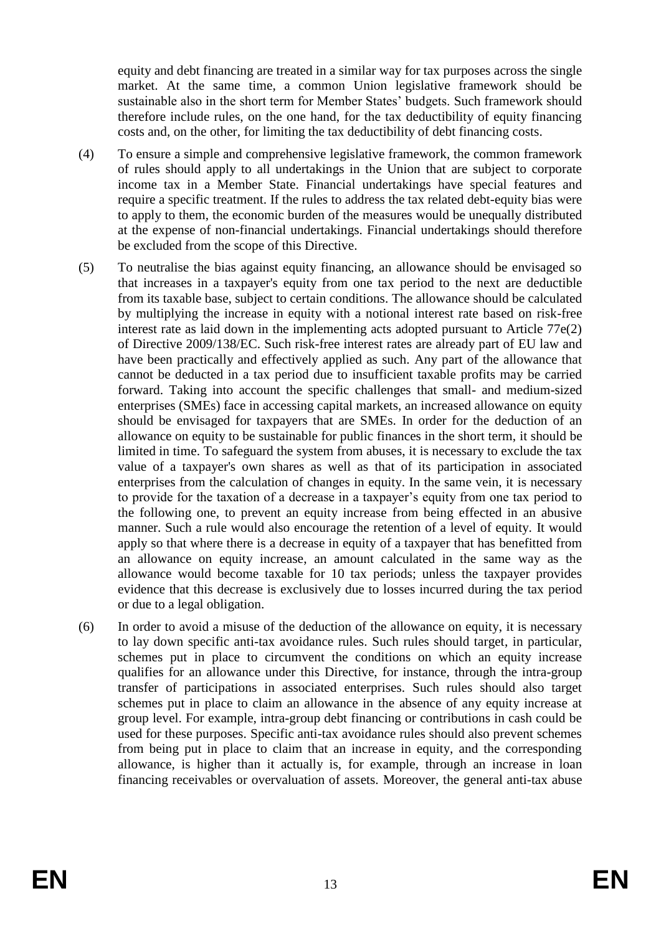equity and debt financing are treated in a similar way for tax purposes across the single market. At the same time, a common Union legislative framework should be sustainable also in the short term for Member States' budgets. Such framework should therefore include rules, on the one hand, for the tax deductibility of equity financing costs and, on the other, for limiting the tax deductibility of debt financing costs.

- (4) To ensure a simple and comprehensive legislative framework, the common framework of rules should apply to all undertakings in the Union that are subject to corporate income tax in a Member State. Financial undertakings have special features and require a specific treatment. If the rules to address the tax related debt-equity bias were to apply to them, the economic burden of the measures would be unequally distributed at the expense of non-financial undertakings. Financial undertakings should therefore be excluded from the scope of this Directive.
- (5) To neutralise the bias against equity financing, an allowance should be envisaged so that increases in a taxpayer's equity from one tax period to the next are deductible from its taxable base, subject to certain conditions. The allowance should be calculated by multiplying the increase in equity with a notional interest rate based on risk-free interest rate as laid down in the implementing acts adopted pursuant to Article 77e(2) of Directive 2009/138/EC. Such risk-free interest rates are already part of EU law and have been practically and effectively applied as such. Any part of the allowance that cannot be deducted in a tax period due to insufficient taxable profits may be carried forward. Taking into account the specific challenges that small- and medium-sized enterprises (SMEs) face in accessing capital markets, an increased allowance on equity should be envisaged for taxpayers that are SMEs. In order for the deduction of an allowance on equity to be sustainable for public finances in the short term, it should be limited in time. To safeguard the system from abuses, it is necessary to exclude the tax value of a taxpayer's own shares as well as that of its participation in associated enterprises from the calculation of changes in equity. In the same vein, it is necessary to provide for the taxation of a decrease in a taxpayer's equity from one tax period to the following one, to prevent an equity increase from being effected in an abusive manner. Such a rule would also encourage the retention of a level of equity. It would apply so that where there is a decrease in equity of a taxpayer that has benefitted from an allowance on equity increase, an amount calculated in the same way as the allowance would become taxable for 10 tax periods; unless the taxpayer provides evidence that this decrease is exclusively due to losses incurred during the tax period or due to a legal obligation.
- (6) In order to avoid a misuse of the deduction of the allowance on equity, it is necessary to lay down specific anti-tax avoidance rules. Such rules should target, in particular, schemes put in place to circumvent the conditions on which an equity increase qualifies for an allowance under this Directive, for instance, through the intra-group transfer of participations in associated enterprises. Such rules should also target schemes put in place to claim an allowance in the absence of any equity increase at group level. For example, intra-group debt financing or contributions in cash could be used for these purposes. Specific anti-tax avoidance rules should also prevent schemes from being put in place to claim that an increase in equity, and the corresponding allowance, is higher than it actually is, for example, through an increase in loan financing receivables or overvaluation of assets. Moreover, the general anti-tax abuse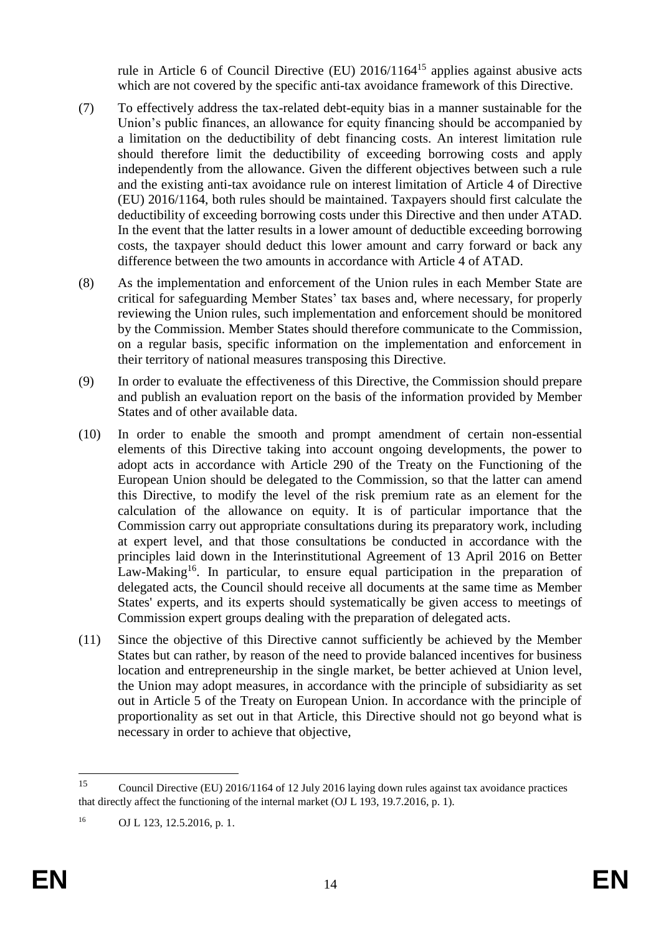rule in Article 6 of Council Directive (EU) 2016/1164<sup>15</sup> applies against abusive acts which are not covered by the specific anti-tax avoidance framework of this Directive.

- (7) To effectively address the tax-related debt-equity bias in a manner sustainable for the Union's public finances, an allowance for equity financing should be accompanied by a limitation on the deductibility of debt financing costs. An interest limitation rule should therefore limit the deductibility of exceeding borrowing costs and apply independently from the allowance. Given the different objectives between such a rule and the existing anti-tax avoidance rule on interest limitation of Article 4 of Directive (EU) 2016/1164, both rules should be maintained. Taxpayers should first calculate the deductibility of exceeding borrowing costs under this Directive and then under ATAD. In the event that the latter results in a lower amount of deductible exceeding borrowing costs, the taxpayer should deduct this lower amount and carry forward or back any difference between the two amounts in accordance with Article 4 of ATAD.
- (8) As the implementation and enforcement of the Union rules in each Member State are critical for safeguarding Member States' tax bases and, where necessary, for properly reviewing the Union rules, such implementation and enforcement should be monitored by the Commission. Member States should therefore communicate to the Commission, on a regular basis, specific information on the implementation and enforcement in their territory of national measures transposing this Directive.
- (9) In order to evaluate the effectiveness of this Directive, the Commission should prepare and publish an evaluation report on the basis of the information provided by Member States and of other available data.
- (10) In order to enable the smooth and prompt amendment of certain non-essential elements of this Directive taking into account ongoing developments, the power to adopt acts in accordance with Article 290 of the Treaty on the Functioning of the European Union should be delegated to the Commission, so that the latter can amend this Directive, to modify the level of the risk premium rate as an element for the calculation of the allowance on equity. It is of particular importance that the Commission carry out appropriate consultations during its preparatory work, including at expert level, and that those consultations be conducted in accordance with the principles laid down in the Interinstitutional Agreement of 13 April 2016 on Better Law-Making<sup>16</sup>. In particular, to ensure equal participation in the preparation of delegated acts, the Council should receive all documents at the same time as Member States' experts, and its experts should systematically be given access to meetings of Commission expert groups dealing with the preparation of delegated acts.
- (11) Since the objective of this Directive cannot sufficiently be achieved by the Member States but can rather, by reason of the need to provide balanced incentives for business location and entrepreneurship in the single market, be better achieved at Union level, the Union may adopt measures, in accordance with the principle of subsidiarity as set out in Article 5 of the Treaty on European Union. In accordance with the principle of proportionality as set out in that Article, this Directive should not go beyond what is necessary in order to achieve that objective,

<sup>15</sup> <sup>15</sup> Council Directive (EU) 2016/1164 of 12 July 2016 laying down rules against tax avoidance practices that directly affect the functioning of the internal market (OJ L 193, 19.7.2016, p. 1).

<sup>16</sup> OJ L 123, 12.5.2016, p. 1.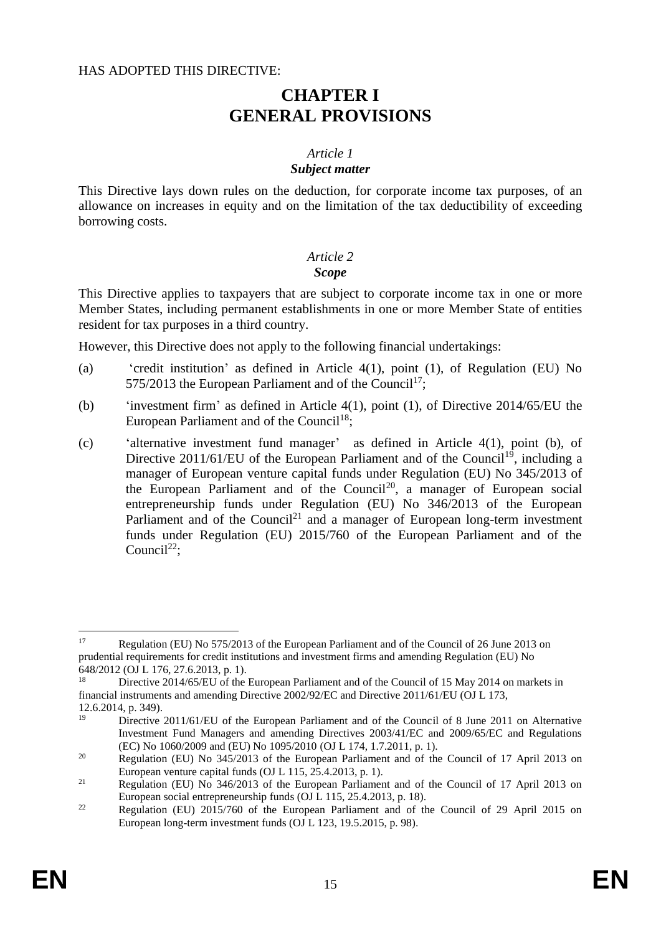#### HAS ADOPTED THIS DIRECTIVE:

# **CHAPTER I GENERAL PROVISIONS**

#### *Article 1 Subject matter*

This Directive lays down rules on the deduction, for corporate income tax purposes, of an allowance on increases in equity and on the limitation of the tax deductibility of exceeding borrowing costs.

# *Article 2*

#### *Scope*

This Directive applies to taxpayers that are subject to corporate income tax in one or more Member States, including permanent establishments in one or more Member State of entities resident for tax purposes in a third country.

However, this Directive does not apply to the following financial undertakings:

- (a) 'credit institution' as defined in Article 4(1), point (1), of Regulation (EU) No 575/2013 the European Parliament and of the Council<sup>17</sup>:
- (b) 'investment firm' as defined in Article 4(1), point (1), of Directive 2014/65/EU the European Parliament and of the Council<sup>18</sup>;
- (c) 'alternative investment fund manager' as defined in Article 4(1), point (b), of Directive  $2011/61/EU$  of the European Parliament and of the Council<sup>19</sup>, including a manager of European venture capital funds under Regulation (EU) No 345/2013 of the European Parliament and of the Council<sup>20</sup>, a manager of European social entrepreneurship funds under Regulation (EU) No 346/2013 of the European Parliament and of the Council<sup>21</sup> and a manager of European long-term investment funds under Regulation (EU) 2015/760 of the European Parliament and of the Council<sup>22</sup>:

1

<sup>&</sup>lt;sup>17</sup> Regulation (EU) No 575/2013 of the European Parliament and of the Council of 26 June 2013 on prudential requirements for credit institutions and investment firms and amending Regulation (EU) No 648/2012 (OJ L 176, 27.6.2013, p. 1).

Directive 2014/65/EU of the European Parliament and of the Council of 15 May 2014 on markets in financial instruments and amending Directive 2002/92/EC and Directive 2011/61/EU (OJ L 173, 12.6.2014, p. 349).

<sup>&</sup>lt;sup>19</sup> Directive 2011/61/EU of the European Parliament and of the Council of 8 June 2011 on Alternative Investment Fund Managers and amending Directives 2003/41/EC and 2009/65/EC and Regulations (EC) No 1060/2009 and (EU) No 1095/2010 (OJ L 174, 1.7.2011, p. 1).

<sup>&</sup>lt;sup>20</sup> Regulation (EU) No  $345/2013$  of the European Parliament and of the Council of 17 April 2013 on European venture capital funds (OJ L 115, 25.4.2013, p. 1).

<sup>&</sup>lt;sup>21</sup> Regulation (EU) No  $346/2013$  of the European Parliament and of the Council of 17 April 2013 on European social entrepreneurship funds (OJ L 115, 25.4.2013, p. 18).

<sup>&</sup>lt;sup>22</sup> Regulation (EU) 2015/760 of the European Parliament and of the Council of 29 April 2015 on European long-term investment funds (OJ L 123, 19.5.2015, p. 98).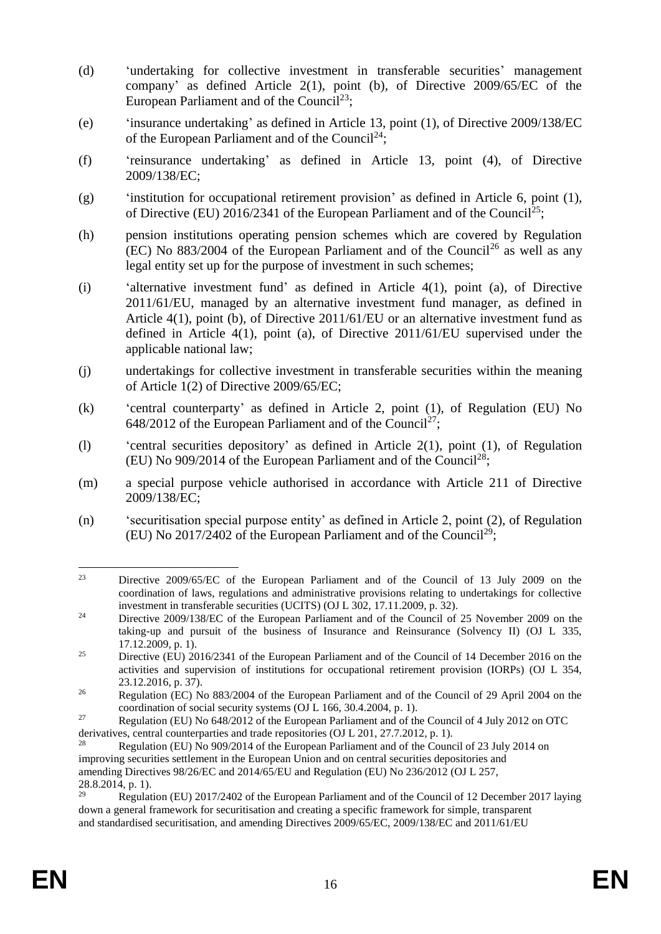- (d) 'undertaking for collective investment in transferable securities' management company' as defined Article 2(1), point (b), of Directive 2009/65/EC of the European Parliament and of the Council<sup>23</sup>;
- (e) 'insurance undertaking' as defined in Article 13, point (1), of Directive 2009/138/EC of the European Parliament and of the Council<sup>24</sup>;
- (f) 'reinsurance undertaking' as defined in Article 13, point (4), of Directive 2009/138/EC;
- (g) 'institution for occupational retirement provision' as defined in Article 6, point (1), of Directive (EU) 2016/2341 of the European Parliament and of the Council<sup>25</sup>;
- (h) pension institutions operating pension schemes which are covered by Regulation  $(EC)$  No 883/2004 of the European Parliament and of the Council<sup>26</sup> as well as any legal entity set up for the purpose of investment in such schemes;
- (i) 'alternative investment fund' as defined in Article 4(1), point (a), of Directive 2011/61/EU, managed by an alternative investment fund manager, as defined in Article 4(1), point (b), of Directive 2011/61/EU or an alternative investment fund as defined in Article 4(1), point (a), of Directive 2011/61/EU supervised under the applicable national law;
- (j) undertakings for collective investment in transferable securities within the meaning of Article 1(2) of Directive 2009/65/EC;
- (k) 'central counterparty' as defined in Article 2, point (1), of Regulation (EU) No 648/2012 of the European Parliament and of the Council<sup>27</sup>;
- (l) 'central securities depository' as defined in Article 2(1), point (1), of Regulation (EU) No 909/2014 of the European Parliament and of the Council<sup>28</sup>;
- (m) a special purpose vehicle authorised in accordance with Article 211 of Directive 2009/138/EC;
- (n) 'securitisation special purpose entity' as defined in Article 2, point (2), of Regulation (EU) No 2017/2402 of the European Parliament and of the Council<sup>29</sup>;

 $23$ <sup>23</sup> Directive 2009/65/EC of the European Parliament and of the Council of 13 July 2009 on the coordination of laws, regulations and administrative provisions relating to undertakings for collective investment in transferable securities (UCITS) (OJ L 302, 17.11.2009, p. 32).

<sup>&</sup>lt;sup>24</sup> Directive 2009/138/EC of the European Parliament and of the Council of 25 November 2009 on the taking-up and pursuit of the business of Insurance and Reinsurance (Solvency II) (OJ L 335, 17.12.2009, p. 1).

<sup>&</sup>lt;sup>25</sup> Directive (EU) 2016/2341 of the European Parliament and of the Council of 14 December 2016 on the activities and supervision of institutions for occupational retirement provision (IORPs) (OJ L 354, 23.12.2016, p. 37).

<sup>&</sup>lt;sup>26</sup> Regulation (EC) No 883/2004 of the European Parliament and of the Council of 29 April 2004 on the coordination of social security systems (OJ L 166, 30.4.2004, p. 1).

<sup>&</sup>lt;sup>27</sup> Regulation (EU) No 648/2012 of the European Parliament and of the Council of 4 July 2012 on OTC derivatives, central counterparties and trade repositories (OJ L 201, 27.7.2012, p. 1).

<sup>28</sup> Regulation (EU) No 909/2014 of the European Parliament and of the Council of 23 July 2014 on improving securities settlement in the European Union and on central securities depositories and amending Directives 98/26/EC and 2014/65/EU and Regulation (EU) No 236/2012 (OJ L 257, 28.8.2014, p. 1).

<sup>29</sup> Regulation (EU) 2017/2402 of the European Parliament and of the Council of 12 December 2017 laying down a general framework for securitisation and creating a specific framework for simple, transparent and standardised securitisation, and amending Directives 2009/65/EC, 2009/138/EC and 2011/61/EU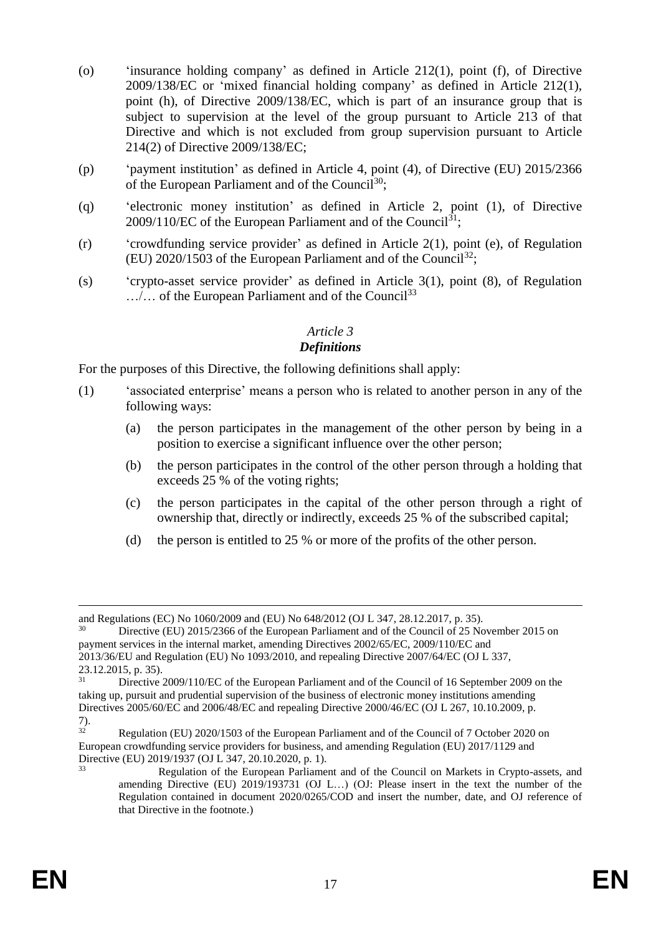- (o) 'insurance holding company' as defined in Article 212(1), point (f), of Directive 2009/138/EC or 'mixed financial holding company' as defined in Article 212(1), point (h), of Directive 2009/138/EC, which is part of an insurance group that is subject to supervision at the level of the group pursuant to Article 213 of that Directive and which is not excluded from group supervision pursuant to Article 214(2) of Directive 2009/138/EC;
- (p) 'payment institution' as defined in Article 4, point (4), of Directive (EU) 2015/2366 of the European Parliament and of the Council<sup>30</sup>;
- (q) 'electronic money institution' as defined in Article 2, point (1), of Directive  $2009/110$ /EC of the European Parliament and of the Council<sup>31</sup>;
- (r) 'crowdfunding service provider' as defined in Article 2(1), point (e), of Regulation (EU) 2020/1503 of the European Parliament and of the Council<sup>32</sup>;
- (s) 'crypto-asset service provider' as defined in Article 3(1), point (8), of Regulation …/… of the European Parliament and of the Council<sup>33</sup>

#### *Article 3*

#### *Definitions*

For the purposes of this Directive, the following definitions shall apply:

- (1) 'associated enterprise' means a person who is related to another person in any of the following ways:
	- (a) the person participates in the management of the other person by being in a position to exercise a significant influence over the other person;
	- (b) the person participates in the control of the other person through a holding that exceeds 25 % of the voting rights;
	- (c) the person participates in the capital of the other person through a right of ownership that, directly or indirectly, exceeds 25 % of the subscribed capital;
	- (d) the person is entitled to 25 % or more of the profits of the other person.

1

and Regulations (EC) No 1060/2009 and (EU) No 648/2012 (OJ L 347, 28.12.2017, p. 35).

<sup>30</sup> Directive (EU) 2015/2366 of the European Parliament and of the Council of 25 November 2015 on payment services in the internal market, amending Directives 2002/65/EC, 2009/110/EC and 2013/36/EU and Regulation (EU) No 1093/2010, and repealing Directive 2007/64/EC (OJ L 337, 23.12.2015, p. 35).

<sup>31</sup> Directive 2009/110/EC of the European Parliament and of the Council of 16 September 2009 on the taking up, pursuit and prudential supervision of the business of electronic money institutions amending Directives 2005/60/EC and 2006/48/EC and repealing Directive 2000/46/EC (OJ L 267, 10.10.2009, p.  $\frac{7}{32}$ .

Regulation (EU) 2020/1503 of the European Parliament and of the Council of 7 October 2020 on European crowdfunding service providers for business, and amending Regulation (EU) 2017/1129 and Directive (EU) 2019/1937 (OJ L 347, 20.10.2020, p. 1).

<sup>33</sup> Regulation of the European Parliament and of the Council on Markets in Crypto-assets, and amending Directive (EU) 2019/193731 (OJ L…) (OJ: Please insert in the text the number of the Regulation contained in document 2020/0265/COD and insert the number, date, and OJ reference of that Directive in the footnote.)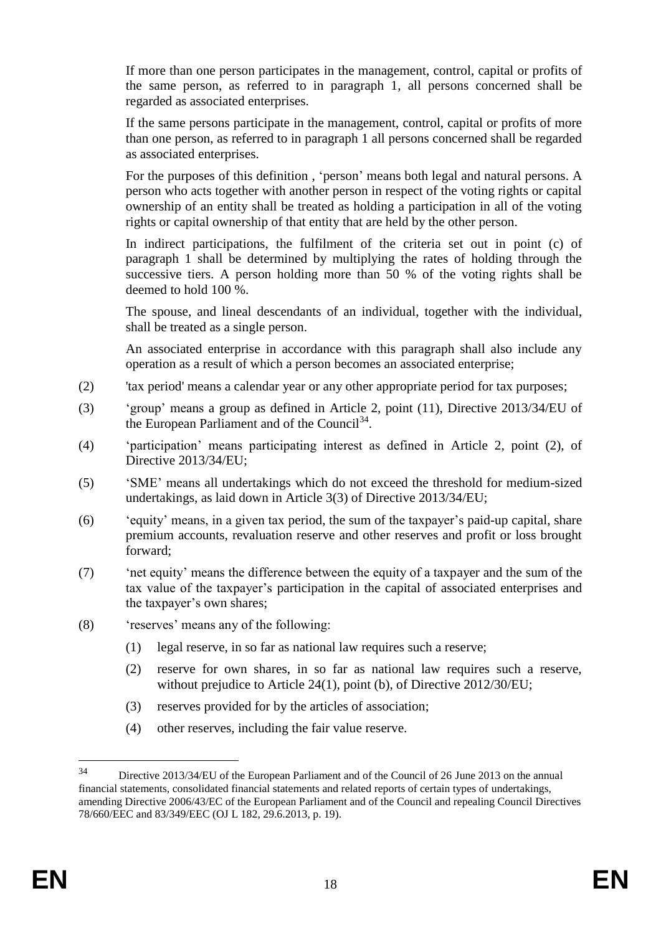If more than one person participates in the management, control, capital or profits of the same person, as referred to in paragraph 1, all persons concerned shall be regarded as associated enterprises.

If the same persons participate in the management, control, capital or profits of more than one person, as referred to in paragraph 1 all persons concerned shall be regarded as associated enterprises.

For the purposes of this definition , 'person' means both legal and natural persons. A person who acts together with another person in respect of the voting rights or capital ownership of an entity shall be treated as holding a participation in all of the voting rights or capital ownership of that entity that are held by the other person.

In indirect participations, the fulfilment of the criteria set out in point (c) of paragraph 1 shall be determined by multiplying the rates of holding through the successive tiers. A person holding more than 50 % of the voting rights shall be deemed to hold 100 %.

The spouse, and lineal descendants of an individual, together with the individual, shall be treated as a single person.

An associated enterprise in accordance with this paragraph shall also include any operation as a result of which a person becomes an associated enterprise;

- (2) 'tax period' means a calendar year or any other appropriate period for tax purposes;
- (3) 'group' means a group as defined in Article 2, point (11), Directive 2013/34/EU of the European Parliament and of the Council<sup>34</sup>.
- (4) 'participation' means participating interest as defined in Article 2, point (2), of Directive 2013/34/EU;
- (5) 'SME' means all undertakings which do not exceed the threshold for medium-sized undertakings, as laid down in Article 3(3) of Directive 2013/34/EU;
- (6) 'equity' means, in a given tax period, the sum of the taxpayer's paid-up capital, share premium accounts, revaluation reserve and other reserves and profit or loss brought forward;
- (7) 'net equity' means the difference between the equity of a taxpayer and the sum of the tax value of the taxpayer's participation in the capital of associated enterprises and the taxpayer's own shares;
- (8) 'reserves' means any of the following:
	- (1) legal reserve, in so far as national law requires such a reserve;
	- (2) reserve for own shares, in so far as national law requires such a reserve, without prejudice to Article 24(1), point (b), of Directive 2012/30/EU;
	- (3) reserves provided for by the articles of association;
	- (4) other reserves, including the fair value reserve.

<u>.</u>

<sup>34</sup> Directive 2013/34/EU of the European Parliament and of the Council of 26 June 2013 on the annual financial statements, consolidated financial statements and related reports of certain types of undertakings, amending Directive 2006/43/EC of the European Parliament and of the Council and repealing Council Directives 78/660/EEC and 83/349/EEC (OJ L 182, 29.6.2013, p. 19).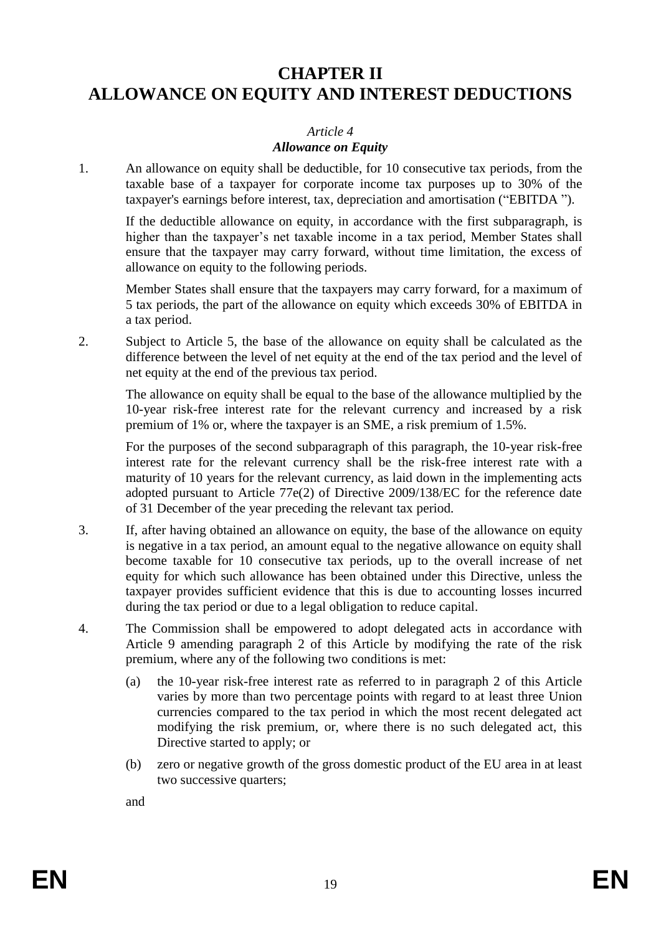# **CHAPTER II ALLOWANCE ON EQUITY AND INTEREST DEDUCTIONS**

#### *Article 4*

#### *Allowance on Equity*

1. An allowance on equity shall be deductible, for 10 consecutive tax periods, from the taxable base of a taxpayer for corporate income tax purposes up to 30% of the taxpayer's earnings before interest, tax, depreciation and amortisation ("EBITDA ").

If the deductible allowance on equity, in accordance with the first subparagraph, is higher than the taxpayer's net taxable income in a tax period, Member States shall ensure that the taxpayer may carry forward, without time limitation, the excess of allowance on equity to the following periods.

Member States shall ensure that the taxpayers may carry forward, for a maximum of 5 tax periods, the part of the allowance on equity which exceeds 30% of EBITDA in a tax period.

2. Subject to Article 5, the base of the allowance on equity shall be calculated as the difference between the level of net equity at the end of the tax period and the level of net equity at the end of the previous tax period.

The allowance on equity shall be equal to the base of the allowance multiplied by the 10-year risk-free interest rate for the relevant currency and increased by a risk premium of 1% or, where the taxpayer is an SME, a risk premium of 1.5%.

For the purposes of the second subparagraph of this paragraph, the 10-year risk-free interest rate for the relevant currency shall be the risk-free interest rate with a maturity of 10 years for the relevant currency, as laid down in the implementing acts adopted pursuant to Article 77e(2) of Directive 2009/138/EC for the reference date of 31 December of the year preceding the relevant tax period.

- 3. If, after having obtained an allowance on equity, the base of the allowance on equity is negative in a tax period, an amount equal to the negative allowance on equity shall become taxable for 10 consecutive tax periods, up to the overall increase of net equity for which such allowance has been obtained under this Directive, unless the taxpayer provides sufficient evidence that this is due to accounting losses incurred during the tax period or due to a legal obligation to reduce capital.
- 4. The Commission shall be empowered to adopt delegated acts in accordance with Article 9 amending paragraph 2 of this Article by modifying the rate of the risk premium, where any of the following two conditions is met:
	- (a) the 10-year risk-free interest rate as referred to in paragraph 2 of this Article varies by more than two percentage points with regard to at least three Union currencies compared to the tax period in which the most recent delegated act modifying the risk premium, or, where there is no such delegated act, this Directive started to apply; or
	- (b) zero or negative growth of the gross domestic product of the EU area in at least two successive quarters;

and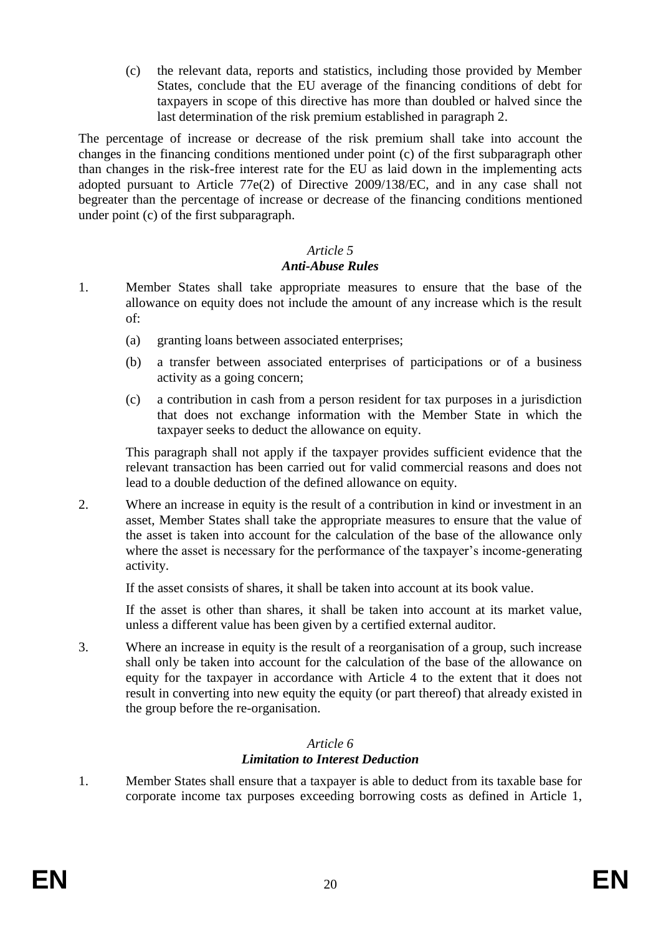(c) the relevant data, reports and statistics, including those provided by Member States, conclude that the EU average of the financing conditions of debt for taxpayers in scope of this directive has more than doubled or halved since the last determination of the risk premium established in paragraph 2.

The percentage of increase or decrease of the risk premium shall take into account the changes in the financing conditions mentioned under point (c) of the first subparagraph other than changes in the risk-free interest rate for the EU as laid down in the implementing acts adopted pursuant to Article 77e(2) of Directive 2009/138/EC, and in any case shall not begreater than the percentage of increase or decrease of the financing conditions mentioned under point (c) of the first subparagraph.

# *Article 5*

# *Anti-Abuse Rules*

- 1. Member States shall take appropriate measures to ensure that the base of the allowance on equity does not include the amount of any increase which is the result of:
	- (a) granting loans between associated enterprises;
	- (b) a transfer between associated enterprises of participations or of a business activity as a going concern;
	- (c) a contribution in cash from a person resident for tax purposes in a jurisdiction that does not exchange information with the Member State in which the taxpayer seeks to deduct the allowance on equity.

This paragraph shall not apply if the taxpayer provides sufficient evidence that the relevant transaction has been carried out for valid commercial reasons and does not lead to a double deduction of the defined allowance on equity.

2. Where an increase in equity is the result of a contribution in kind or investment in an asset, Member States shall take the appropriate measures to ensure that the value of the asset is taken into account for the calculation of the base of the allowance only where the asset is necessary for the performance of the taxpayer's income-generating activity.

If the asset consists of shares, it shall be taken into account at its book value.

If the asset is other than shares, it shall be taken into account at its market value, unless a different value has been given by a certified external auditor.

3. Where an increase in equity is the result of a reorganisation of a group, such increase shall only be taken into account for the calculation of the base of the allowance on equity for the taxpayer in accordance with Article 4 to the extent that it does not result in converting into new equity the equity (or part thereof) that already existed in the group before the re-organisation.

#### *Article 6 Limitation to Interest Deduction*

1. Member States shall ensure that a taxpayer is able to deduct from its taxable base for corporate income tax purposes exceeding borrowing costs as defined in Article 1,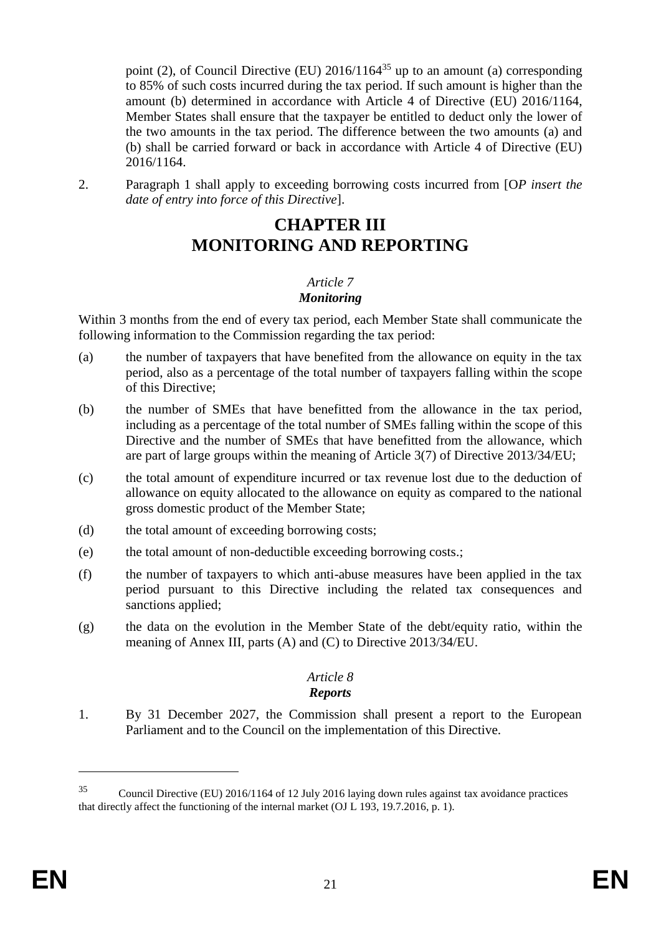point (2), of Council Directive (EU)  $2016/1164^{35}$  up to an amount (a) corresponding to 85% of such costs incurred during the tax period. If such amount is higher than the amount (b) determined in accordance with Article 4 of Directive (EU) 2016/1164, Member States shall ensure that the taxpayer be entitled to deduct only the lower of the two amounts in the tax period. The difference between the two amounts (a) and (b) shall be carried forward or back in accordance with Article 4 of Directive (EU) 2016/1164.

2. Paragraph 1 shall apply to exceeding borrowing costs incurred from [O*P insert the date of entry into force of this Directive*].

# **CHAPTER III MONITORING AND REPORTING**

# *Article 7*

#### *Monitoring*

Within 3 months from the end of every tax period, each Member State shall communicate the following information to the Commission regarding the tax period:

- (a) the number of taxpayers that have benefited from the allowance on equity in the tax period, also as a percentage of the total number of taxpayers falling within the scope of this Directive;
- (b) the number of SMEs that have benefitted from the allowance in the tax period, including as a percentage of the total number of SMEs falling within the scope of this Directive and the number of SMEs that have benefitted from the allowance, which are part of large groups within the meaning of Article 3(7) of Directive 2013/34/EU;
- (c) the total amount of expenditure incurred or tax revenue lost due to the deduction of allowance on equity allocated to the allowance on equity as compared to the national gross domestic product of the Member State;
- (d) the total amount of exceeding borrowing costs;
- (e) the total amount of non-deductible exceeding borrowing costs.;
- (f) the number of taxpayers to which anti-abuse measures have been applied in the tax period pursuant to this Directive including the related tax consequences and sanctions applied:
- (g) the data on the evolution in the Member State of the debt/equity ratio, within the meaning of Annex III, parts (A) and (C) to Directive 2013/34/EU.

#### *Article 8 Reports*

1. By 31 December 2027, the Commission shall present a report to the European Parliament and to the Council on the implementation of this Directive.

1

<sup>35</sup> Council Directive (EU) 2016/1164 of 12 July 2016 laying down rules against tax avoidance practices that directly affect the functioning of the internal market (OJ L 193, 19.7.2016, p. 1).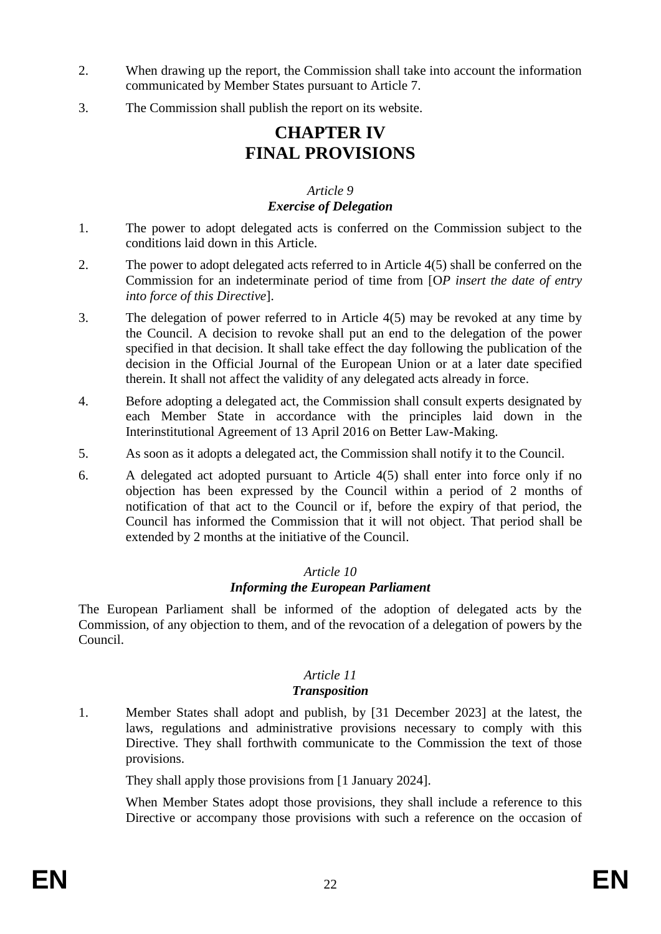- 2. When drawing up the report, the Commission shall take into account the information communicated by Member States pursuant to Article 7.
- 3. The Commission shall publish the report on its website.

# **CHAPTER IV FINAL PROVISIONS**

#### *Article 9 Exercise of Delegation*

- 1. The power to adopt delegated acts is conferred on the Commission subject to the conditions laid down in this Article.
- 2. The power to adopt delegated acts referred to in Article 4(5) shall be conferred on the Commission for an indeterminate period of time from [O*P insert the date of entry into force of this Directive*].
- 3. The delegation of power referred to in Article 4(5) may be revoked at any time by the Council. A decision to revoke shall put an end to the delegation of the power specified in that decision. It shall take effect the day following the publication of the decision in the Official Journal of the European Union or at a later date specified therein. It shall not affect the validity of any delegated acts already in force.
- 4. Before adopting a delegated act, the Commission shall consult experts designated by each Member State in accordance with the principles laid down in the Interinstitutional Agreement of 13 April 2016 on Better Law-Making.
- 5. As soon as it adopts a delegated act, the Commission shall notify it to the Council.
- 6. A delegated act adopted pursuant to Article 4(5) shall enter into force only if no objection has been expressed by the Council within a period of 2 months of notification of that act to the Council or if, before the expiry of that period, the Council has informed the Commission that it will not object. That period shall be extended by 2 months at the initiative of the Council.

# *Article 10 Informing the European Parliament*

The European Parliament shall be informed of the adoption of delegated acts by the Commission, of any objection to them, and of the revocation of a delegation of powers by the Council.

#### *Article 11 Transposition*

1. Member States shall adopt and publish, by [31 December 2023] at the latest, the laws, regulations and administrative provisions necessary to comply with this Directive. They shall forthwith communicate to the Commission the text of those provisions.

They shall apply those provisions from [1 January 2024].

When Member States adopt those provisions, they shall include a reference to this Directive or accompany those provisions with such a reference on the occasion of